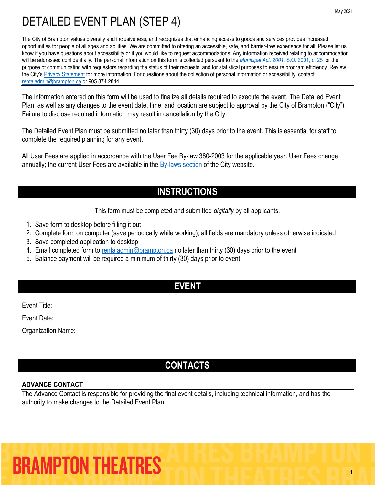The City of Brampton values diversity and inclusiveness, and recognizes that enhancing access to goods and services provides increased opportunities for people of all ages and abilities. We are committed to offering an accessible, safe, and barrier-free experience for all. Please let us know if you have questions about accessibility or if you would like to request accommodations. Any information received relating to accommodation will be addressed confidentially. The personal information on this form is collected pursuant to the *[Municipal Act, 2001](https://www.ontario.ca/laws/statute/01m25)*, S.O. 2001, c. 25 for the purpose of communicating with requestors regarding the status of their requests, and for statistical purposes to ensure program efficiency. Review the City's [Privacy Statement](http://www.brampton.ca/en/Info-Centre/Pages/Privacy-Statement.aspx) for more information. For questions about the collection of personal information or accessibility, contact [rentaladmin@brampton.ca](mailto:rentaladmin@brampton.ca) or 905.874.2844.

The information entered on this form will be used to finalize all details required to execute the event. The Detailed Event Plan, as well as any changes to the event date, time, and location are subject to approval by the City of Brampton ("City"). Failure to disclose required information may result in cancellation by the City.

The Detailed Event Plan must be submitted no later than thirty (30) days prior to the event. This is essential for staff to complete the required planning for any event.

All User Fees are applied in accordance with the User Fee By-law 380-2003 for the applicable year. User Fees change annually; the current User Fees are available in the  $\frac{By-laws}{s}$  section of the City website.

### **INSTRUCTIONS**

This form must be completed and submitted *digitally* by all applicants.

- 1. Save form to desktop before filling it out
- 2. Complete form on computer (save periodically while working); all fields are mandatory unless otherwise indicated
- 3. Save completed application to desktop
- 4. Email completed form to [rentaladmin@brampton.ca](mailto:rentaladmin@brampton.ca) no later than thirty (30) days prior to the event
- 5. Balance payment will be required a minimum of thirty (30) days prior to event

### **EVENT**

Event Title:

Event Date:

Organization Name:

### **CONTACTS**

### **ADVANCE CONTACT**

The Advance Contact is responsible for providing the final event details, including technical information, and has the authority to make changes to the Detailed Event Plan.

# **BRAMPTON THEATRES**

1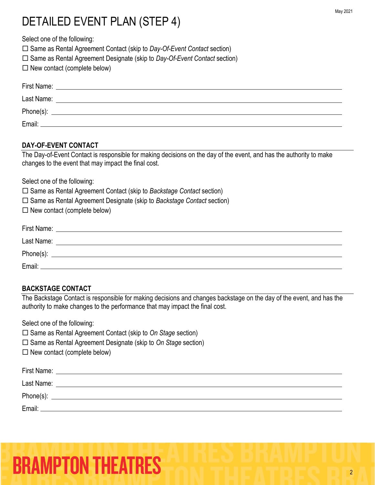Select one of the following:

□ Same as Rental Agreement Contact (skip to *Day-Of-Event Contact* section)

- □ Same as Rental Agreement Designate (skip to *Day-Of-Event Contact* section)
- $\square$  New contact (complete below)

| First Name: |  |
|-------------|--|
| Last Name:  |  |
|             |  |
| Email:      |  |

### **DAY-OF-EVENT CONTACT**

The Day-of-Event Contact is responsible for making decisions on the day of the event, and has the authority to make changes to the event that may impact the final cost.

Select one of the following:

Same as Rental Agreement Contact (skip to *Backstage Contact* section)

- Same as Rental Agreement Designate (skip to *Backstage Contact* section)
- $\square$  New contact (complete below)

| First Name: |  |
|-------------|--|
| Last Name:  |  |
| Phone(s):   |  |
| Email:      |  |

### **BACKSTAGE CONTACT**

The Backstage Contact is responsible for making decisions and changes backstage on the day of the event, and has the authority to make changes to the performance that may impact the final cost.

Select one of the following:

□ Same as Rental Agreement Contact (skip to *On Stage* section)

- □ Same as Rental Agreement Designate (skip to *On Stage* section)
- $\Box$  New contact (complete below)

| First Name: |  |
|-------------|--|
| Last Name:  |  |
| Phone(s):   |  |
| Email:      |  |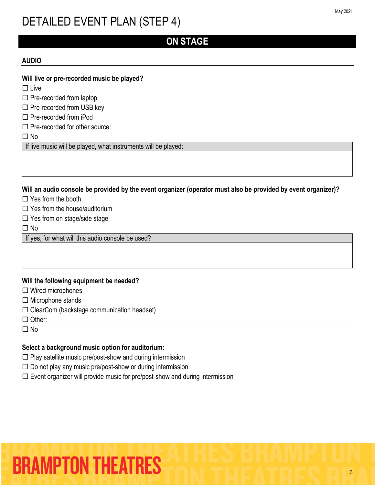### **ON STAGE**

### **AUDIO**

#### **Will live or pre-recorded music be played?**

 $\square$  Live

 $\square$  Pre-recorded from laptop

 $\square$  Pre-recorded from USB key

 $\Box$  Pre-recorded from iPod

 $\square$  Pre-recorded for other source:

No

If live music will be played, what instruments will be played:

**Will an audio console be provided by the event organizer (operator must also be provided by event organizer)?**

 $\Box$  Yes from the booth

 $\Box$  Yes from the house/auditorium

 $\square$  Yes from on stage/side stage

 $\Box$  No

If yes, for what will this audio console be used?

### **Will the following equipment be needed?**

 $\Box$  Wired microphones

 $\Box$  Microphone stands

 $\square$  ClearCom (backstage communication headset)

 $\Box$  Other:

 $\Box$  No

### **Select a background music option for auditorium:**

 $\Box$  Play satellite music pre/post-show and during intermission

 $\square$  Do not play any music pre/post-show or during intermission

 $\square$  Event organizer will provide music for pre/post-show and during intermission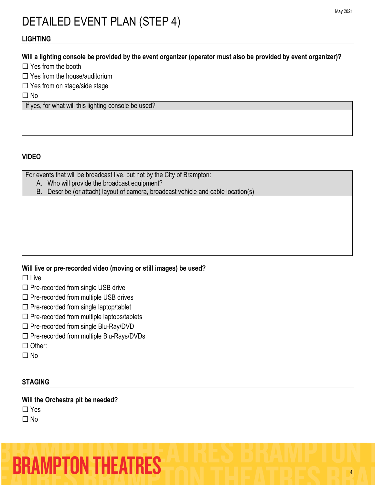### **LIGHTING**

### **Will a lighting console be provided by the event organizer (operator must also be provided by event organizer)?**

Yes from the booth

Yes from the house/auditorium

 $\Box$  Yes from on stage/side stage

 $\Box$  No

If yes, for what will this lighting console be used?

### **VIDEO**

For events that will be broadcast live, but not by the City of Brampton:

A. Who will provide the broadcast equipment?

B. Describe (or attach) layout of camera, broadcast vehicle and cable location(s)

### **Will live or pre-recorded video (moving or still images) be used?**

 $\square$  Live

 $\square$  Pre-recorded from single USB drive

- $\Box$  Pre-recorded from multiple USB drives
- $\square$  Pre-recorded from single laptop/tablet
- $\square$  Pre-recorded from multiple laptops/tablets
- $\square$  Pre-recorded from single Blu-Ray/DVD
- $\square$  Pre-recorded from multiple Blu-Rays/DVDs

□ Other:

 $\Box$  No

### **STAGING**

**Will the Orchestra pit be needed?**

 $\Box$  Yes

 $\Box$  No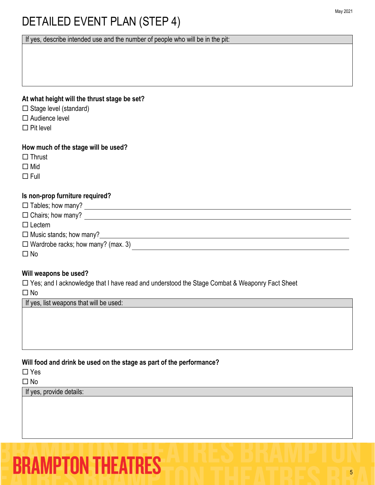If yes, describe intended use and the number of people who will be in the pit:

### **At what height will the thrust stage be set?**

- $\Box$  Stage level (standard)
- □ Audience level
- $\Box$  Pit level

### **How much of the stage will be used?**

- $\Box$  Thrust
- □ Mid
- $\Box$ Full

### **Is non-prop furniture required?**

| $\Box$ Tables; how many?                  |  |
|-------------------------------------------|--|
| $\Box$ Chairs; how many?                  |  |
| $\Box$ Lectern                            |  |
| $\Box$ Music stands; how many?            |  |
| $\Box$ Wardrobe racks; how many? (max. 3) |  |
| $\square$ No                              |  |

### **Will weapons be used?**

□ Yes; and I acknowledge that I have read and understood the Stage Combat & Weaponry Fact Sheet

□ No

If yes, list weapons that will be used:

### **Will food and drink be used on the stage as part of the performance?**

 $\Box$  Yes

□ No

If yes, provide details: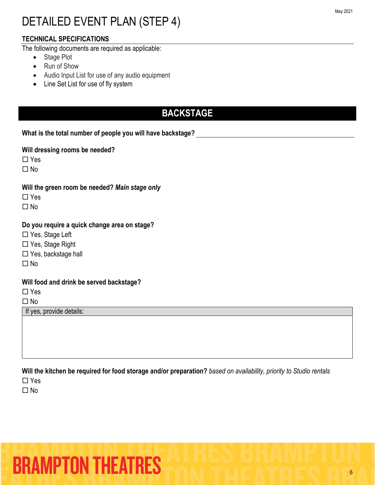### **TECHNICAL SPECIFICATIONS**

The following documents are required as applicable:

- Stage Plot
- Run of Show
- Audio Input List for use of any audio equipment
- Line Set List for use of fly system

### **BACKSTAGE**

**What is the total number of people you will have backstage?**

**Will dressing rooms be needed?**

□ Yes

 $\Box$  No

**Will the green room be needed?** *Main stage only*

□ Yes

 $\Box$  No

### **Do you require a quick change area on stage?**

□ Yes, Stage Left

□ Yes, Stage Right

□ Yes, backstage hall

 $\Box$  No

### **Will food and drink be served backstage?**

□ Yes

 $\Box$  No

If yes, provide details:

**Will the kitchen be required for food storage and/or preparation?** *based on availability, priority to Studio rentals*

□ Yes

 $\Box$  No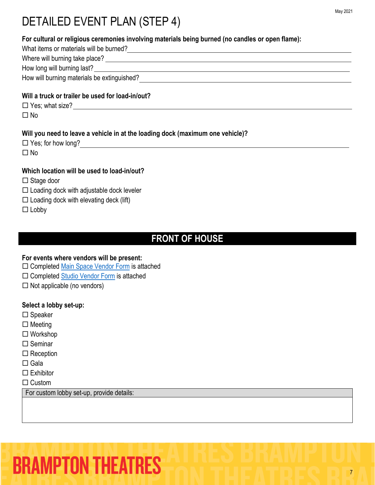| For cultural or religious ceremonies involving materials being burned (no candles or open flame): |  |  |
|---------------------------------------------------------------------------------------------------|--|--|
| What items or materials will be burned?<br><u> What items or materials will be burned?</u>        |  |  |
|                                                                                                   |  |  |
|                                                                                                   |  |  |
| How will burning materials be extinguished?                                                       |  |  |
| Will a truck or trailer be used for load-in/out?                                                  |  |  |
| $\Box$ Yes; what size? $\Box$                                                                     |  |  |
| $\Box$ No                                                                                         |  |  |
| Will you need to leave a vehicle in at the loading dock (maximum one vehicle)?                    |  |  |
| $\Box$ No                                                                                         |  |  |
| Which location will be used to load-in/out?                                                       |  |  |
| $\Box$ Stage door                                                                                 |  |  |
| $\Box$ Loading dock with adjustable dock leveler                                                  |  |  |
| $\Box$ Loading dock with elevating deck (lift)                                                    |  |  |
| $\Box$ Lobby                                                                                      |  |  |
|                                                                                                   |  |  |

### **FRONT OF HOUSE**

### **For events where vendors will be present:**

- □ Completed [Main Space Vendor Form](https://tickets.brampton.ca/Online/default.asp?BOparam::WScontent::loadArticle::permalink=RentTheRose&BOparam::WScontent::loadArticle::context_id=) is attached
- □ Completed [Studio Vendor Form](https://tickets.brampton.ca/Online/default.asp?BOparam::WScontent::loadArticle::permalink=RentTheRose&BOparam::WScontent::loadArticle::context_id=) is attached
- $\Box$  Not applicable (no vendors)

### **Select a lobby set-up:**

- $\square$  Speaker
- $\square$  Meeting
- Workshop
- $\square$  Seminar
- $\square$  Reception
- $\Box$  Gala
- $\square$  Exhibitor

 $\Box$  Custom

For custom lobby set-up, provide details: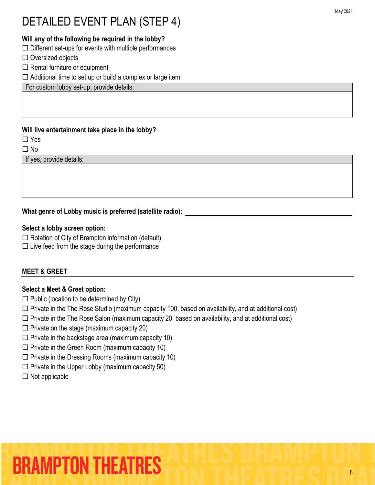### **Will any of the following be required in the lobby?**

 $\Box$  Different set-ups for events with multiple performances

- $\Box$  Oversized objects
- $\Box$  Rental furniture or equipment

 $\Box$  Additional time to set up or build a complex or large item

For custom lobby set-up, provide details:

### **Will live entertainment take place in the lobby?**

□ Yes

 $\Box$  No

If yes, provide details:

### **What genre of Lobby music is preferred (satellite radio):**

#### **Select a lobby screen option:**

 $\Box$  Rotation of City of Brampton information (default)

 $\square$  Live feed from the stage during the performance

### **MEET & GREET**

### **Select a Meet & Greet option:**

- $\square$  Public (location to be determined by City)
- $\Box$  Private in the The Rose Studio (maximum capacity 100, based on availability, and at additional cost)
- $\Box$  Private in the The Rose Salon (maximum capacity 20, based on availability, and at additional cost)
- $\square$  Private on the stage (maximum capacity 20)
- $\square$  Private in the backstage area (maximum capacity 10)
- $\square$  Private in the Green Room (maximum capacity 10)
- $\square$  Private in the Dressing Rooms (maximum capacity 10)
- $\square$  Private in the Upper Lobby (maximum capacity 50)
- $\Box$  Not applicable